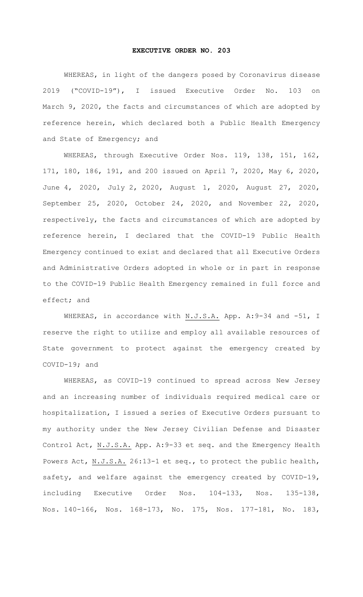## **EXECUTIVE ORDER NO. 203**

WHEREAS, in light of the dangers posed by Coronavirus disease 2019 ("COVID-19"), I issued Executive Order No. 103 on March 9, 2020, the facts and circumstances of which are adopted by reference herein, which declared both a Public Health Emergency and State of Emergency; and

WHEREAS, through Executive Order Nos. 119, 138, 151, 162, 171, 180, 186, 191, and 200 issued on April 7, 2020, May 6, 2020, June 4, 2020, July 2, 2020, August 1, 2020, August 27, 2020, September 25, 2020, October 24, 2020, and November 22, 2020, respectively, the facts and circumstances of which are adopted by reference herein, I declared that the COVID-19 Public Health Emergency continued to exist and declared that all Executive Orders and Administrative Orders adopted in whole or in part in response to the COVID-19 Public Health Emergency remained in full force and effect; and

WHEREAS, in accordance with N.J.S.A. App. A: 9-34 and -51, I reserve the right to utilize and employ all available resources of State government to protect against the emergency created by COVID-19; and

WHEREAS, as COVID-19 continued to spread across New Jersey and an increasing number of individuals required medical care or hospitalization, I issued a series of Executive Orders pursuant to my authority under the New Jersey Civilian Defense and Disaster Control Act, N.J.S.A. App. A:9-33 et seq. and the Emergency Health Powers Act, N.J.S.A. 26:13-1 et seq., to protect the public health, safety, and welfare against the emergency created by COVID-19, including Executive Order Nos. 104-133, Nos. 135-138, Nos. 140-166, Nos. 168-173, No. 175, Nos. 177-181, No. 183,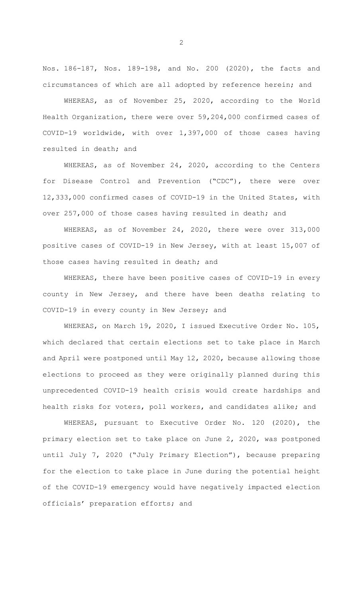Nos. 186-187, Nos. 189-198, and No. 200 (2020), the facts and circumstances of which are all adopted by reference herein; and

WHEREAS, as of November 25, 2020, according to the World Health Organization, there were over 59,204,000 confirmed cases of COVID-19 worldwide, with over 1,397,000 of those cases having resulted in death; and

WHEREAS, as of November 24, 2020, according to the Centers for Disease Control and Prevention ("CDC"), there were over 12,333,000 confirmed cases of COVID-19 in the United States, with over 257,000 of those cases having resulted in death; and

WHEREAS, as of November 24, 2020, there were over 313,000 positive cases of COVID-19 in New Jersey, with at least 15,007 of those cases having resulted in death; and

WHEREAS, there have been positive cases of COVID-19 in every county in New Jersey, and there have been deaths relating to COVID-19 in every county in New Jersey; and

WHEREAS, on March 19, 2020, I issued Executive Order No. 105, which declared that certain elections set to take place in March and April were postponed until May 12, 2020, because allowing those elections to proceed as they were originally planned during this unprecedented COVID-19 health crisis would create hardships and health risks for voters, poll workers, and candidates alike; and

WHEREAS, pursuant to Executive Order No. 120 (2020), the primary election set to take place on June 2, 2020, was postponed until July 7, 2020 ("July Primary Election"), because preparing for the election to take place in June during the potential height of the COVID-19 emergency would have negatively impacted election officials' preparation efforts; and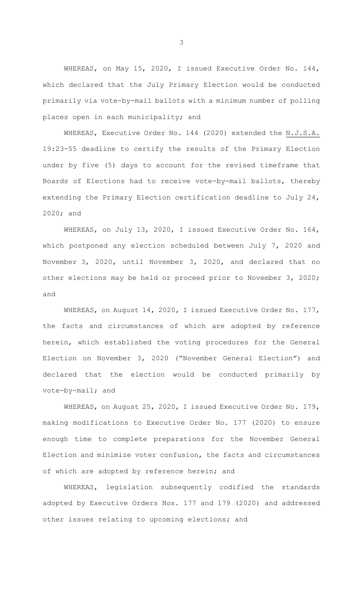WHEREAS, on May 15, 2020, I issued Executive Order No. 144, which declared that the July Primary Election would be conducted primarily via vote-by-mail ballots with a minimum number of polling places open in each municipality; and

WHEREAS, Executive Order No. 144 (2020) extended the N.J.S.A. 19:23-55 deadline to certify the results of the Primary Election under by five (5) days to account for the revised timeframe that Boards of Elections had to receive vote-by-mail ballots, thereby extending the Primary Election certification deadline to July 24, 2020; and

WHEREAS, on July 13, 2020, I issued Executive Order No. 164, which postponed any election scheduled between July 7, 2020 and November 3, 2020, until November 3, 2020, and declared that no other elections may be held or proceed prior to November 3, 2020; and

WHEREAS, on August 14, 2020, I issued Executive Order No. 177, the facts and circumstances of which are adopted by reference herein, which established the voting procedures for the General Election on November 3, 2020 ("November General Election") and declared that the election would be conducted primarily by vote-by-mail; and

WHEREAS, on August 25, 2020, I issued Executive Order No. 179, making modifications to Executive Order No. 177 (2020) to ensure enough time to complete preparations for the November General Election and minimize voter confusion, the facts and circumstances of which are adopted by reference herein; and

WHEREAS, legislation subsequently codified the standards adopted by Executive Orders Nos. 177 and 179 (2020) and addressed other issues relating to upcoming elections; and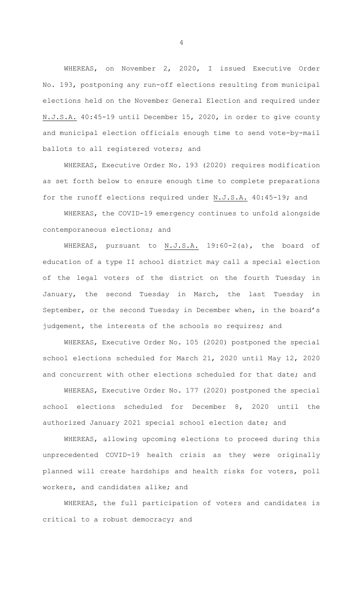WHEREAS, on November 2, 2020, I issued Executive Order No. 193, postponing any run-off elections resulting from municipal elections held on the November General Election and required under N.J.S.A. 40:45-19 until December 15, 2020, in order to give county and municipal election officials enough time to send vote-by-mail ballots to all registered voters; and

WHEREAS, Executive Order No. 193 (2020) requires modification as set forth below to ensure enough time to complete preparations for the runoff elections required under N.J.S.A. 40:45-19; and

WHEREAS, the COVID-19 emergency continues to unfold alongside contemporaneous elections; and

WHEREAS, pursuant to N.J.S.A. 19:60-2(a), the board of education of a type II school district may call a special election of the legal voters of the district on the fourth Tuesday in January, the second Tuesday in March, the last Tuesday in September, or the second Tuesday in December when, in the board's judgement, the interests of the schools so requires; and

WHEREAS, Executive Order No. 105 (2020) postponed the special school elections scheduled for March 21, 2020 until May 12, 2020 and concurrent with other elections scheduled for that date; and

WHEREAS, Executive Order No. 177 (2020) postponed the special school elections scheduled for December 8, 2020 until the authorized January 2021 special school election date; and

WHEREAS, allowing upcoming elections to proceed during this unprecedented COVID-19 health crisis as they were originally planned will create hardships and health risks for voters, poll workers, and candidates alike; and

WHEREAS, the full participation of voters and candidates is critical to a robust democracy; and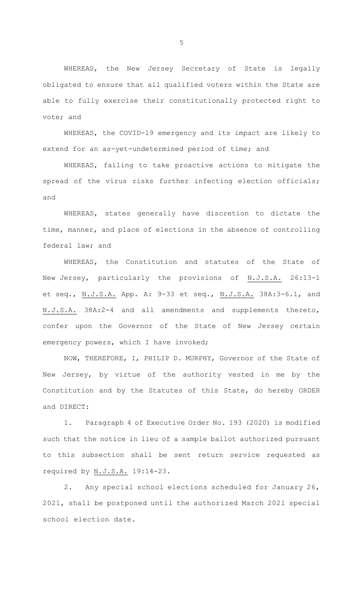WHEREAS, the New Jersey Secretary of State is legally obligated to ensure that all qualified voters within the State are able to fully exercise their constitutionally protected right to vote; and

WHEREAS, the COVID-19 emergency and its impact are likely to extend for an as-yet-undetermined period of time; and

WHEREAS, failing to take proactive actions to mitigate the spread of the virus risks further infecting election officials; and

WHEREAS, states generally have discretion to dictate the time, manner, and place of elections in the absence of controlling federal law; and

WHEREAS, the Constitution and statutes of the State of New Jersey, particularly the provisions of N.J.S.A. 26:13-1 et seq., N.J.S.A. App. A: 9-33 et seq., N.J.S.A. 38A:3-6.1, and N.J.S.A. 38A:2-4 and all amendments and supplements thereto, confer upon the Governor of the State of New Jersey certain emergency powers, which I have invoked;

NOW, THEREFORE, I, PHILIP D. MURPHY, Governor of the State of New Jersey, by virtue of the authority vested in me by the Constitution and by the Statutes of this State, do hereby ORDER and DIRECT:

1. Paragraph 4 of Executive Order No. 193 (2020) is modified such that the notice in lieu of a sample ballot authorized pursuant to this subsection shall be sent return service requested as required by N.J.S.A. 19:14-23.

2. Any special school elections scheduled for January 26, 2021, shall be postponed until the authorized March 2021 special school election date.